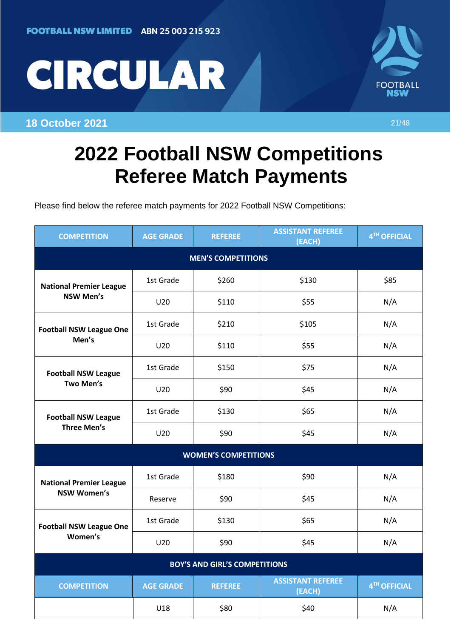



**18 October 2021** 21/48

## **2022 Football NSW Competitions Referee Match Payments**

Please find below the referee match payments for 2022 Football NSW Competitions:

| <b>COMPETITION</b>                                   | <b>AGE GRADE</b> | <b>REFEREE</b> | <b>ASSISTANT REFEREE</b><br>(EACH) | 4TH OFFICIAL |  |  |  |
|------------------------------------------------------|------------------|----------------|------------------------------------|--------------|--|--|--|
| <b>MEN'S COMPETITIONS</b>                            |                  |                |                                    |              |  |  |  |
| <b>National Premier League</b><br><b>NSW Men's</b>   | 1st Grade        | \$260          | \$130                              | \$85         |  |  |  |
|                                                      | U20              | \$110          | \$55                               | N/A          |  |  |  |
| <b>Football NSW League One</b><br>Men's              | 1st Grade        | \$210          | \$105                              | N/A          |  |  |  |
|                                                      | U20              | \$110          | \$55                               | N/A          |  |  |  |
| <b>Football NSW League</b><br>Two Men's              | 1st Grade        | \$150          | \$75                               | N/A          |  |  |  |
|                                                      | U20              | \$90           | \$45                               | N/A          |  |  |  |
| <b>Football NSW League</b><br><b>Three Men's</b>     | 1st Grade        | \$130          | \$65                               | N/A          |  |  |  |
|                                                      | U20              | \$90           | \$45                               | N/A          |  |  |  |
| <b>WOMEN'S COMPETITIONS</b>                          |                  |                |                                    |              |  |  |  |
| <b>National Premier League</b><br><b>NSW Women's</b> | 1st Grade        | \$180          | \$90                               | N/A          |  |  |  |
|                                                      | Reserve          | \$90           | \$45                               | N/A          |  |  |  |
| <b>Football NSW League One</b><br>Women's            | 1st Grade        | \$130          | \$65                               | N/A          |  |  |  |
|                                                      | U20              | \$90           | \$45                               | N/A          |  |  |  |
| <b>BOY'S AND GIRL'S COMPETITIONS</b>                 |                  |                |                                    |              |  |  |  |
| <b>COMPETITION</b>                                   | <b>AGE GRADE</b> | <b>REFEREE</b> | <b>ASSISTANT REFEREE</b><br>(EACH) | 4TH OFFICIAL |  |  |  |
|                                                      | U18              | \$80           | \$40                               | N/A          |  |  |  |